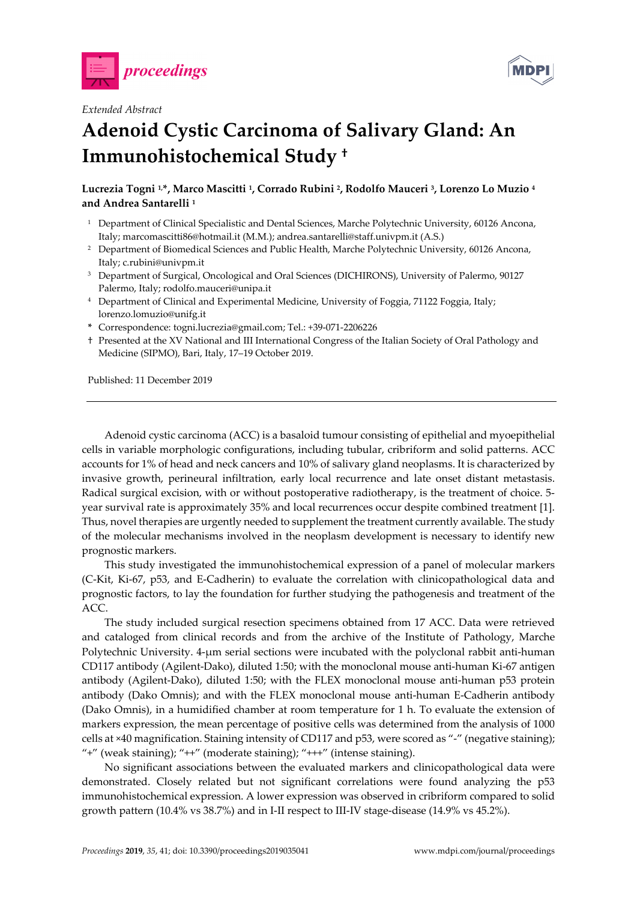



## *Extended Abstract*

## **Adenoid Cystic Carcinoma of Salivary Gland: An Immunohistochemical Study †**

**Lucrezia Togni 1,\*, Marco Mascitti 1, Corrado Rubini 2, Rodolfo Mauceri 3, Lorenzo Lo Muzio 4 and Andrea Santarelli 1**

- <sup>1</sup> Department of Clinical Specialistic and Dental Sciences, Marche Polytechnic University, 60126 Ancona, Italy; marcomascitti86@hotmail.it (M.M.); andrea.santarelli@staff.univpm.it (A.S.)
- <sup>2</sup> Department of Biomedical Sciences and Public Health, Marche Polytechnic University, 60126 Ancona, Italy; c.rubini@univpm.it
- <sup>3</sup> Department of Surgical, Oncological and Oral Sciences (DICHIRONS), University of Palermo, 90127 Palermo, Italy; rodolfo.mauceri@unipa.it
- <sup>4</sup> Department of Clinical and Experimental Medicine, University of Foggia, 71122 Foggia, Italy; lorenzo.lomuzio@unifg.it
- **\*** Correspondence: togni.lucrezia@gmail.com; Tel.: +39-071-2206226
- † Presented at the XV National and III International Congress of the Italian Society of Oral Pathology and Medicine (SIPMO), Bari, Italy, 17–19 October 2019.

Published: 11 December 2019

Adenoid cystic carcinoma (ACC) is a basaloid tumour consisting of epithelial and myoepithelial cells in variable morphologic configurations, including tubular, cribriform and solid patterns. ACC accounts for 1% of head and neck cancers and 10% of salivary gland neoplasms. It is characterized by invasive growth, perineural infiltration, early local recurrence and late onset distant metastasis. Radical surgical excision, with or without postoperative radiotherapy, is the treatment of choice. 5 year survival rate is approximately 35% and local recurrences occur despite combined treatment [1]. Thus, novel therapies are urgently needed to supplement the treatment currently available. The study of the molecular mechanisms involved in the neoplasm development is necessary to identify new prognostic markers.

This study investigated the immunohistochemical expression of a panel of molecular markers (C-Kit, Ki-67, p53, and E-Cadherin) to evaluate the correlation with clinicopathological data and prognostic factors, to lay the foundation for further studying the pathogenesis and treatment of the ACC.

The study included surgical resection specimens obtained from 17 ACC. Data were retrieved and cataloged from clinical records and from the archive of the Institute of Pathology, Marche Polytechnic University. 4-μm serial sections were incubated with the polyclonal rabbit anti-human CD117 antibody (Agilent-Dako), diluted 1:50; with the monoclonal mouse anti-human Ki-67 antigen antibody (Agilent-Dako), diluted 1:50; with the FLEX monoclonal mouse anti-human p53 protein antibody (Dako Omnis); and with the FLEX monoclonal mouse anti-human E-Cadherin antibody (Dako Omnis), in a humidified chamber at room temperature for 1 h. To evaluate the extension of markers expression, the mean percentage of positive cells was determined from the analysis of 1000 cells at ×40 magnification. Staining intensity of CD117 and p53, were scored as "-" (negative staining); "+" (weak staining); "++" (moderate staining); "+++" (intense staining).

No significant associations between the evaluated markers and clinicopathological data were demonstrated. Closely related but not significant correlations were found analyzing the p53 immunohistochemical expression. A lower expression was observed in cribriform compared to solid growth pattern (10.4% vs 38.7%) and in I-II respect to III-IV stage-disease (14.9% vs 45.2%).